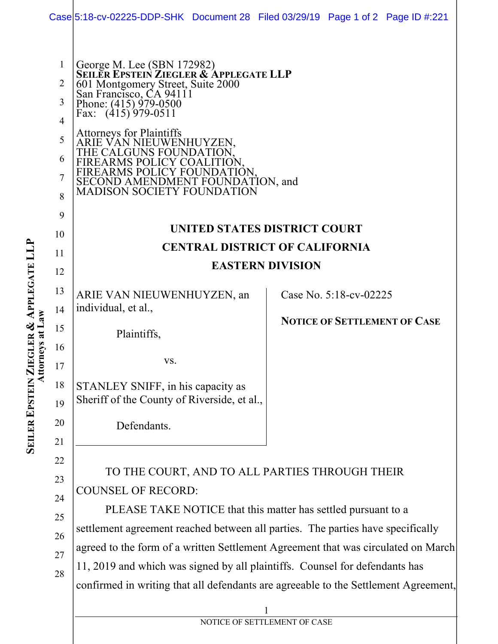|                                                                                                                                     | Case 5:18-cv-02225-DDP-SHK Document 28 Filed 03/29/19 Page 1 of 2 Page ID #:221                                                                                                                                                                                                                                                                                                                                                                                                                                                                                                                                                                                                                                                        |  |
|-------------------------------------------------------------------------------------------------------------------------------------|----------------------------------------------------------------------------------------------------------------------------------------------------------------------------------------------------------------------------------------------------------------------------------------------------------------------------------------------------------------------------------------------------------------------------------------------------------------------------------------------------------------------------------------------------------------------------------------------------------------------------------------------------------------------------------------------------------------------------------------|--|
| $\mathbf{1}$<br>2<br>3<br>4<br>5<br>6<br>7<br>8<br>9<br>10<br>11<br>12<br>13<br>14<br>ys au Law<br>15<br>16<br>17<br>18<br>19<br>20 | George M. Lee (SBN 172982)<br>SEILER EPSTEIN ZIEGLER & APPLEGATE LLP<br>601 Montgomery Street, Suite 2000<br>San Francisco, CA 94111<br>Phone: (415) 979-0500<br>Fax: (415) 979-0511<br><b>Attorneys for Plaintiffs</b><br>ARIE VAN NIEUWENHUYZEN.<br>THE CALGUNS FOUNDAT<br>FIREARMS POLICY COAL<br>FIREARMS POLICY FOUNDATION,<br>SECOND AMENDMENT FOUNDATION, and<br>MADISON SOCIETY FOUNDATION<br>UNITED STATES DISTRICT COURT<br><b>CENTRAL DISTRICT OF CALIFORNIA</b><br><b>EASTERN DIVISION</b><br>Case No. 5:18-cv-02225<br>ARIE VAN NIEUWENHUYZEN, an<br>individual, et al.,<br><b>NOTICE OF SETTLEMENT OF CASE</b><br>Plaintiffs,<br>VS.<br>STANLEY SNIFF, in his capacity as<br>Sheriff of the County of Riverside, et al., |  |
| 21<br>22<br>23<br>24<br>25<br>26<br>27<br>28                                                                                        | TO THE COURT, AND TO ALL PARTIES THROUGH THEIR<br><b>COUNSEL OF RECORD:</b><br>PLEASE TAKE NOTICE that this matter has settled pursuant to a<br>settlement agreement reached between all parties. The parties have specifically<br>agreed to the form of a written Settlement Agreement that was circulated on March<br>11, 2019 and which was signed by all plaintiffs. Counsel for defendants has<br>confirmed in writing that all defendants are agreeable to the Settlement Agreement,<br>NOTICE OF SETTLEMENT OF CASE                                                                                                                                                                                                             |  |

**SEILER EPSTEIN ZIEGLER & APPLEGATE LLP Attorneys at Law**